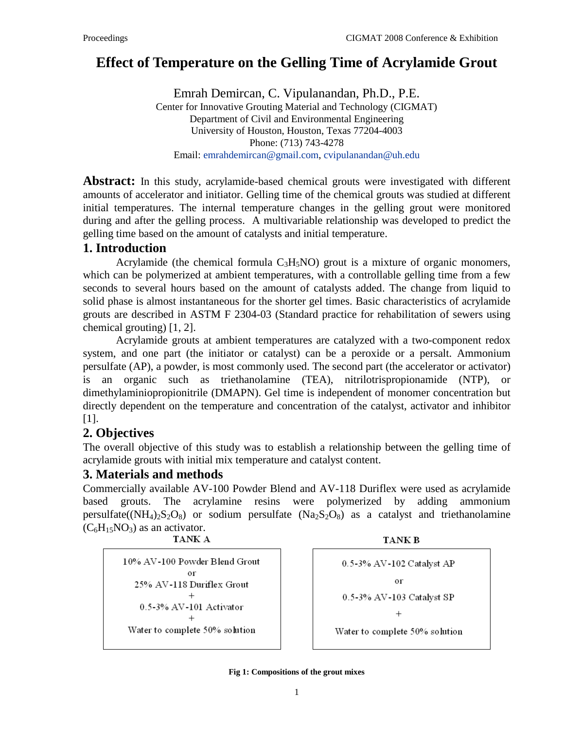# **Effect of Temperature on the Gelling Time of Acrylamide Grout**

Emrah Demircan, C. Vipulanandan, Ph.D., P.E. Center for Innovative Grouting Material and Technology (CIGMAT) Department of Civil and Environmental Engineering University of Houston, Houston, Texas 77204-4003 Phone: (713) 743-4278 Email: [emrahdemircan@gmail.com,](mailto:emrahdemircan@gmail.com) [cvipulanandan@uh.edu](mailto:cvipulanandan@uh.edu)

**Abstract:** In this study, acrylamide-based chemical grouts were investigated with different amounts of accelerator and initiator. Gelling time of the chemical grouts was studied at different initial temperatures. The internal temperature changes in the gelling grout were monitored during and after the gelling process. A multivariable relationship was developed to predict the gelling time based on the amount of catalysts and initial temperature.

### **1. Introduction**

Acrylamide (the chemical formula  $C_3H_5NO$ ) grout is a mixture of organic monomers, which can be polymerized at ambient temperatures, with a controllable gelling time from a few seconds to several hours based on the amount of catalysts added. The change from liquid to solid phase is almost instantaneous for the shorter gel times. Basic characteristics of acrylamide grouts are described in ASTM F 2304-03 (Standard practice for rehabilitation of sewers using chemical grouting) [1, 2].

Acrylamide grouts at ambient temperatures are catalyzed with a two-component redox system, and one part (the initiator or catalyst) can be a peroxide or a persalt. Ammonium persulfate (AP), a powder, is most commonly used. The second part (the accelerator or activator) is an organic such as triethanolamine (TEA), nitrilotrispropionamide (NTP), or dimethylaminiopropionitrile (DMAPN). Gel time is independent of monomer concentration but directly dependent on the temperature and concentration of the catalyst, activator and inhibitor [1].

## **2. Objectives**

The overall objective of this study was to establish a relationship between the gelling time of acrylamide grouts with initial mix temperature and catalyst content.

## **3. Materials and methods**

Commercially available AV-100 Powder Blend and AV-118 Duriflex were used as acrylamide based grouts. The acrylamine resins were polymerized by adding ammonium persulfate( $(NH_4)_2S_2O_8$  $(NH_4)_2S_2O_8$  $(NH_4)_2S_2O_8$  $(NH_4)_2S_2O_8$  $(NH_4)_2S_2O_8$ ) or sodium persulfate ( $Na_2S_2O_8$ ) as a catalyst and triethanolamine  $(C_6H_{15}NO_3)$  as an activator.

|--|--|

10% AV-100 Powder Blend Grout or 25% AV-118 Duriflex Grout  $+$ 0.5-3% AV-101 Activator Water to complete 50% solution

**TANK B** 

$$
0.5-3\% \text{ AV-102 } \text{Catalyst } \text{AP}
$$
\nor

\n
$$
0.5-3\% \text{ AV-103 } \text{Catalyst } \text{SP}
$$
\n+

\nWater to complete 50% solution

**Fig 1: Compositions of the grout mixes**